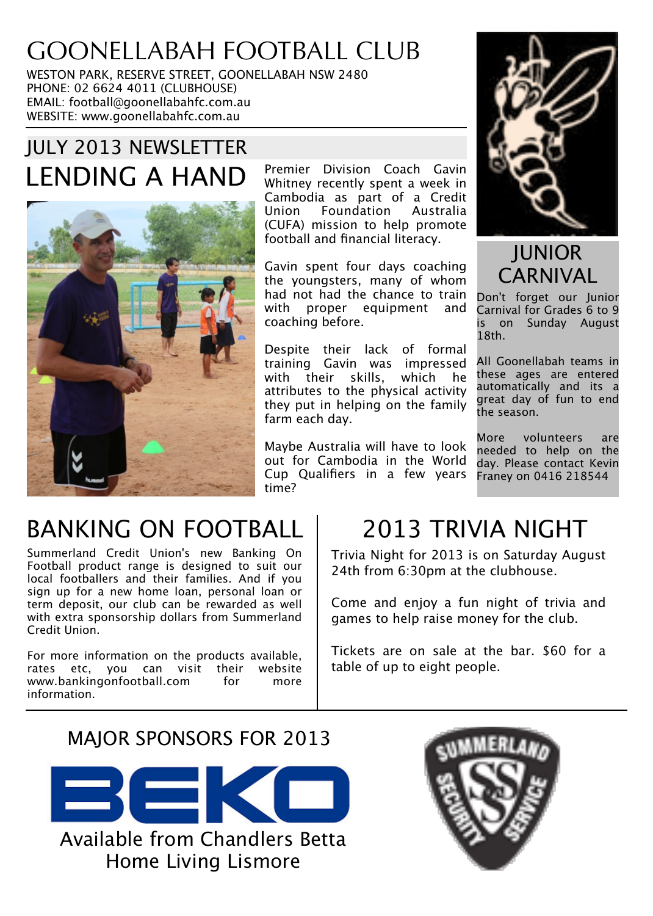# GOONELLABAH FOOTBALL CLUB

WESTON PARK, RESERVE STREET, GOONELLABAH NSW 2480 PHONE: 02 6624 4011 (CLUBHOUSE) EMAIL: football@goonellabahfc.com.au WEBSITE: www.goonellabahfc.com.au

## JULY 2013 NEWSLETTER LENDING A HAND Premier Division Coach Gavin



Whitney recently spent a week in Cambodia as part of a Credit Union Foundation Australia (CUFA) mission to help promote football and financial literacy.

Gavin spent four days coaching the youngsters, many of whom had not had the chance to train with proper equipment and coaching before.

Despite their lack of formal training Gavin was impressed with their skills, which he attributes to the physical activity they put in helping on the family farm each day.

Maybe Australia will have to look out for Cambodia in the World Cup Qualifiers in a few years time?



JUNIOR **CARNIVAL** 

Don't forget our Junior Carnival for Grades 6 to 9 is on Sunday August 18th.

All Goonellabah teams in these ages are entered automatically and its a great day of fun to end the season.

More volunteers are needed to help on the day. Please contact Kevin Franey on 0416 218544

# BANKING ON FOOTBALL

Summerland Credit Union's new Banking On Football product range is designed to suit our local footballers and their families. And if you sign up for a new home loan, personal loan or term deposit, our club can be rewarded as well with extra sponsorship dollars from Summerland Credit Union.

For more information on the products available, rates etc, you can visit their website www.bankingonfootball.com for more information.

## 2013 TRIVIA NIGHT

Trivia Night for 2013 is on Saturday August 24th from 6:30pm at the clubhouse.

Come and enjoy a fun night of trivia and games to help raise money for the club.

Tickets are on sale at the bar. \$60 for a table of up to eight people.

### MAJOR SPONSORS FOR 2013